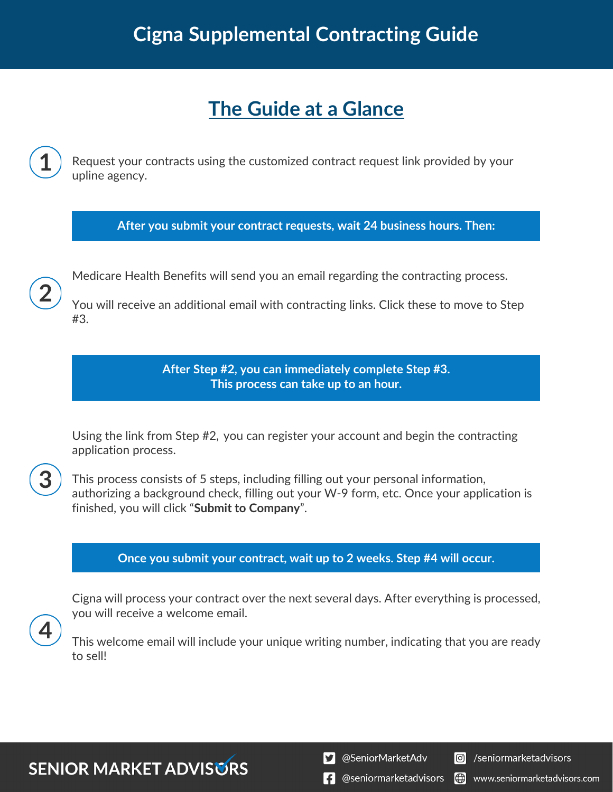## **The Guide at a Glance**

Request your contracts using the customized contract request link provided by your upline agency.

**After you submit your contract requests, wait 24 business hours. Then:**



Medicare Health Benefits will send you an email regarding the contracting process.

You will receive an additional email with contracting links. Click these to move to Step #3.

> **After Step #2, you can immediately complete Step #3. This process can take up to an hour.**

Using the link from Step #2, you can register your account and begin the contracting application process.



This process consists of 5 steps, including filling out your personal information, authorizing a background check, filling out your W-9 form, etc. Once your application is finished, you will click "**Submit to Company**".

### **Once you submit your contract, wait up to 2 weeks. Step #4 will occur.**

Cigna will process your contract over the next several days. After everything is processed, you will receive a welcome email.

This welcome email will include your unique writing number, indicating that you are ready to sell!

**SENIOR MARKET ADVISURS**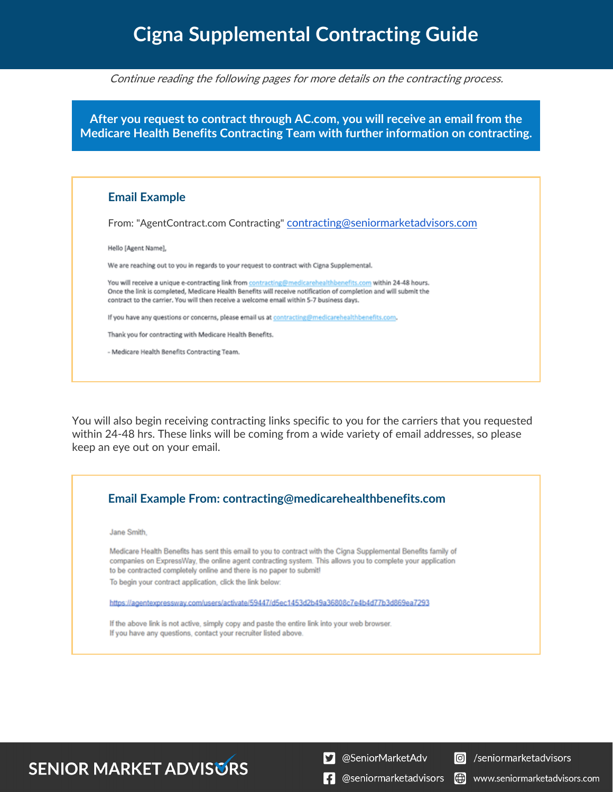Continue reading the following pages for more details on the contracting process.

**After you request to contract through AC.com, you will receive an email from the Medicare Health Benefits Contracting Team with further information on contracting.**

#### **Email Example**

From: "AgentContract.com Contracting" contracting@seniormarketadvisors.com

Hello [Agent Name],

We are reaching out to you in regards to your request to contract with Cigna Supplemental.

You will receive a unique e-contracting link from contracting@medicarehealthbenefits.com within 24-48 hours. Once the link is completed, Medicare Health Benefits will receive notification of completion and will submit the contract to the carrier. You will then receive a welcome email within 5-7 business days.

If you have any questions or concerns, please email us at contracting@medicarehealthbenefits.com.

Thank you for contracting with Medicare Health Benefits.

- Medicare Health Benefits Contracting Team.

You will also begin receiving contracting links specific to you for the carriers that you requested within 24-48 hrs. These links will be coming from a wide variety of email addresses, so please keep an eye out on your email.



### **SENIOR MARKET ADVISURS**

S @SeniorMarketAdv



 $\left| \cdot \right|$  @seniormarketadvisors (.) www.seniormarketadvisors.com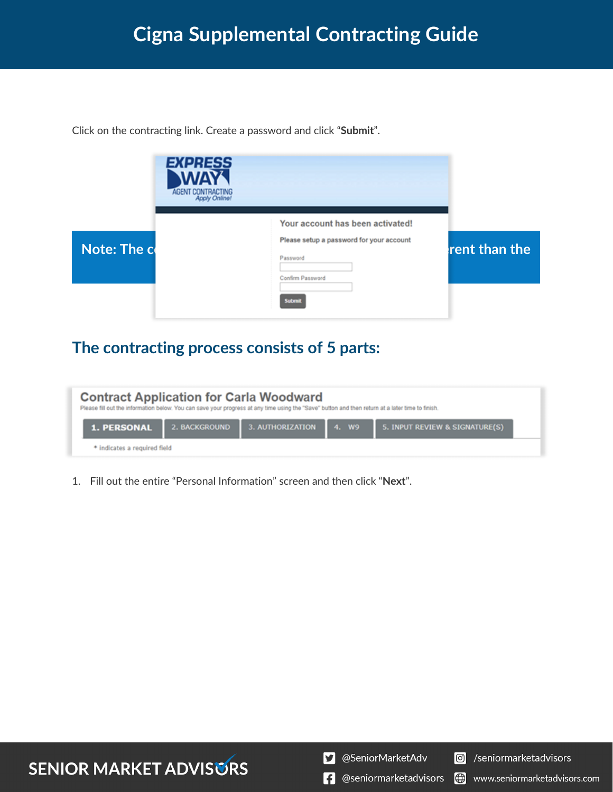Click on the contracting link. Create a password and click "**Submit**".



### **The contracting process consists of 5 parts:**

| <b>Contract Application for Carla Woodward</b><br>Please fill out the information below. You can save your progress at any time using the "Save" button and then return at a later time to finish. |                                      |                                |
|----------------------------------------------------------------------------------------------------------------------------------------------------------------------------------------------------|--------------------------------------|--------------------------------|
| <b>1. PERSONAL</b>                                                                                                                                                                                 | 2. BACKGROUND 3. AUTHORIZATION 4. W9 | 5. INPUT REVIEW & SIGNATURE(S) |
| * indicates a required field                                                                                                                                                                       |                                      |                                |

1. Fill out the entire "Personal Information" screen and then click "**Next**".

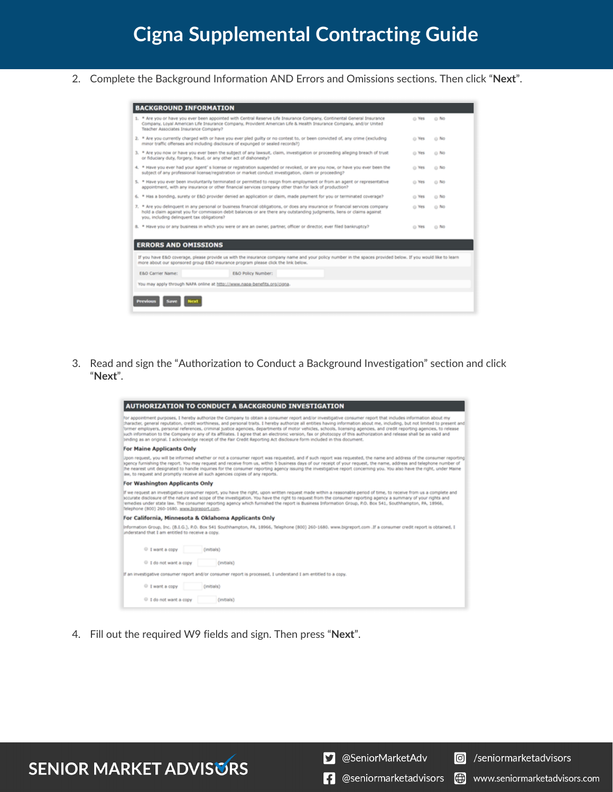2. Complete the Background Information AND Errors and Omissions sections. Then click "**Next**".

| <b>BACKGROUND INFORMATION</b>              |                                                                                                                                                                                                                                                          |       |        |
|--------------------------------------------|----------------------------------------------------------------------------------------------------------------------------------------------------------------------------------------------------------------------------------------------------------|-------|--------|
| Teacher Associates Insurance Company?      | 1. * Are you or have you ever been appointed with Central Reserve Life Insurance Company, Continental General Insurance<br>Company, Loyal American Life Insurance Company, Provident American Life & Health Insurance Company, and/or United             | o Yes | $@$ No |
|                                            | 2. * Are you currently charged with or have you ever pled guilty or no contest to, or been convicted of, any crime (excluding<br>minor traffic offenses and including disclosure of expunged or sealed records?)                                         | O Yes | o No   |
|                                            | 3. * Are you now or have you ever been the subject of any lawsuit, claim, investigation or proceeding alleging breach of trust<br>or fiduciary duty, forgery, fraud, or any other act of dishonesty?                                                     | o Yes | $0$ No |
|                                            | 4. * Have you ever had your agent' s license or registration suspended or revoked, or are you now, or have you ever been the<br>subsect of any professional license/registration or market conduct investigation, claim or proceeding?                   | O Yes | 0.55   |
|                                            | 5. * Have you ever been involuntarily terminated or permitted to resign from employment or from an agent or representative<br>appointment, with any insurance or other financial services company other than for lack of production?                     | O Yes | 0.56   |
|                                            | 6. * Has a bonding, surety or E&O provider denied an application or claim, made payment for you or terminated coverage?                                                                                                                                  | @ Yes | 0.56   |
| you, including delinquent tax obligations? | 7. * Are you delinguent in any personal or business financial obligations, or does any insurance or financial services company<br>hold a claim against you for commission debit balances or are there any outstanding judgments, liens or claims against | O Yes | o No   |
|                                            | 8. * Have you or any business in which you were or are an owner, partner, officer or director, ever filed bankruptcy?                                                                                                                                    | O Yes | o No   |
|                                            |                                                                                                                                                                                                                                                          |       |        |
|                                            |                                                                                                                                                                                                                                                          |       |        |
| <b>ERRORS AND OMISSIONS</b>                |                                                                                                                                                                                                                                                          |       |        |
|                                            | If you have E&O coverage, please provide us with the insurance company name and your policy number in the spaces provided below. If you would like to learn<br>more about our sponsored group E&O insurance program please click the link below.         |       |        |
| E&O Carrier Name:                          | E&O Policy Number:                                                                                                                                                                                                                                       |       |        |
|                                            | You may apply through NAPA online at http://www.napa-benefits.org/cigna.                                                                                                                                                                                 |       |        |
|                                            |                                                                                                                                                                                                                                                          |       |        |
| Previous                                   |                                                                                                                                                                                                                                                          |       |        |

3. Read and sign the "Authorization to Conduct a Background Investigation" section and click "**Next**".

| <b>AUTHORIZATION TO CONDUCT A BACKGROUND INVESTIGATION</b>                                                                                                                                                                                                                                                                                                                                                                                                                                                                                                                                                                                                                                                                                                                                                                      |
|---------------------------------------------------------------------------------------------------------------------------------------------------------------------------------------------------------------------------------------------------------------------------------------------------------------------------------------------------------------------------------------------------------------------------------------------------------------------------------------------------------------------------------------------------------------------------------------------------------------------------------------------------------------------------------------------------------------------------------------------------------------------------------------------------------------------------------|
| For appointment purposes, I hereby authorize the Company to obtain a consumer report and/or investigative consumer report that includes information about my<br>character, general reputation, credit worthiness, and personal traits. I hereby authorize all entities having information about me, including, but not limited to present and<br>former employers, personal references, criminal justice agencies, departments of motor vehicles, schools, licensing agencies, and credit reporting agencies, to release<br>juch information to the Company or any of its affiliates. I agree that an electronic version, fax or photocopy of this authorization and release shall be as valid and<br>binding as an original. I acknowledge receipt of the Fair Credit Reporting Act disclosure form included in this document. |
| For Maine Applicants Only                                                                                                                                                                                                                                                                                                                                                                                                                                                                                                                                                                                                                                                                                                                                                                                                       |
| Upon request, you will be informed whether or not a consumer report was requested, and if such report was requested, the name and address of the consumer reporting<br>spency furnishing the report, You may request and receive from us, within 5 business days of our receipt of your request, the name, address and telephone number of<br>the nearest unit designated to handle inquiries for the consumer reporting agency issuing the investigative report concerning you. You also have the right, under Maine<br>aw, to request and promptly receive all such agencies copies of any reports.                                                                                                                                                                                                                           |
| For Washington Applicants Only                                                                                                                                                                                                                                                                                                                                                                                                                                                                                                                                                                                                                                                                                                                                                                                                  |
| If we request an investigative consumer report, you have the right, upon written request made within a reasonable period of time, to receive from us a complete and<br>scourate disclosure of the nature and scope of the investigation. You have the right to request from the consumer reporting agency a summary of your rights and<br>emedies under state law. The consumer reporting agency which furnished the report is Business Information Group, P.O. Box 541, Southhampton, PA, 18966,<br>Telephone (800) 260-1680. www.bigreport.com.                                                                                                                                                                                                                                                                               |
| For California, Minnesota & Oklahoma Applicants Only                                                                                                                                                                                                                                                                                                                                                                                                                                                                                                                                                                                                                                                                                                                                                                            |
| Information Group, Inc. (B.I.G.), P.O. Box 541 Southhampton, PA, 18966, Telephone (800) 260-1680. www.bigreport.com .If a consumer credit report is obtained, I<br>understand that I am entitled to receive a copy.                                                                                                                                                                                                                                                                                                                                                                                                                                                                                                                                                                                                             |
| <sup>0</sup> I want a copy<br>(initials)                                                                                                                                                                                                                                                                                                                                                                                                                                                                                                                                                                                                                                                                                                                                                                                        |
| C I do not want a copy<br>(initials)                                                                                                                                                                                                                                                                                                                                                                                                                                                                                                                                                                                                                                                                                                                                                                                            |
| If an investigative consumer report and/or consumer report is processed, I understand I am entitled to a copy.                                                                                                                                                                                                                                                                                                                                                                                                                                                                                                                                                                                                                                                                                                                  |
| <sup>0</sup> I want a copy<br>(initials)                                                                                                                                                                                                                                                                                                                                                                                                                                                                                                                                                                                                                                                                                                                                                                                        |
| C I do not want a copy<br>$(nn$ minis)                                                                                                                                                                                                                                                                                                                                                                                                                                                                                                                                                                                                                                                                                                                                                                                          |
|                                                                                                                                                                                                                                                                                                                                                                                                                                                                                                                                                                                                                                                                                                                                                                                                                                 |

4. Fill out the required W9 fields and sign. Then press "**Next**".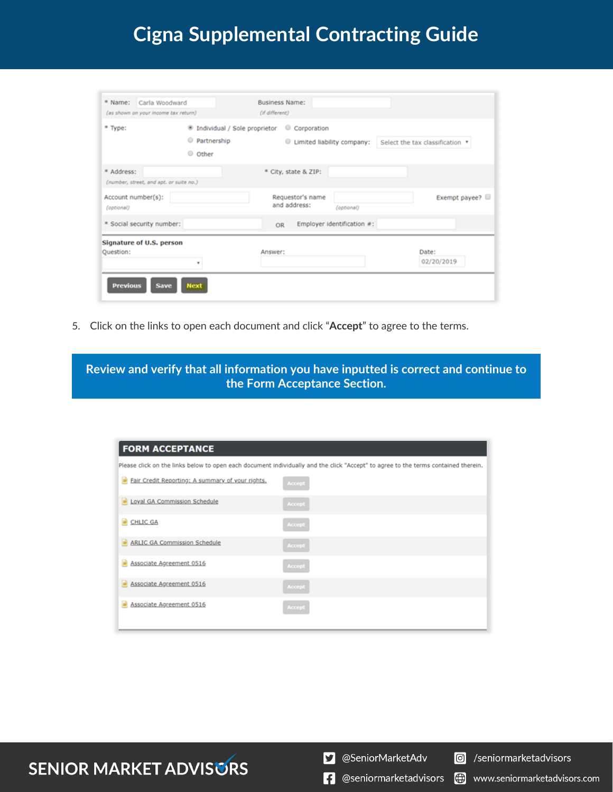| * Name:<br>Carla Woodward<br>(as shown on your income tax return) |                                                                     | <b>Business Name:</b><br>(if different)              |                                 |
|-------------------------------------------------------------------|---------------------------------------------------------------------|------------------------------------------------------|---------------------------------|
| * Type:                                                           | <sup>®</sup> Individual / Sole proprietor<br>Partnership<br>C Other | Corporation<br>$\circ$<br>Limited liability company: | Select the tax classification * |
| * Address:<br>(number, street, and apt. or suite no.)             |                                                                     | * City, state & ZIP:                                 |                                 |
| Account number(s):<br>(optional)                                  |                                                                     | Requestor's name<br>and address:<br>(optional)       | Exempt payee?                   |
| * Social security number:                                         |                                                                     | Employer identification #:<br><b>OR</b>              |                                 |
| Signature of U.S. person<br>Question:                             |                                                                     | Answer:                                              | Date:<br>02/20/2019             |
| <b>Previous</b><br><b>Save</b>                                    | <b>Next</b>                                                         |                                                      |                                 |

5. Click on the links to open each document and click "**Accept**" to agree to the terms.

**Review and verify that all information you have inputted is correct and continue to the Form Acceptance Section.**

| <b>FORM ACCEPTANCE</b>                           |                                                                                                                                    |
|--------------------------------------------------|------------------------------------------------------------------------------------------------------------------------------------|
|                                                  | Please click on the links below to open each document individually and the click "Accept" to agree to the terms contained therein. |
| Fair Credit Reporting: A summary of your rights, | <b>Accept</b>                                                                                                                      |
| Loyal GA Commission Schedule                     | Accept                                                                                                                             |
| CHLIC GA                                         | Accept                                                                                                                             |
| ARLIC GA Commission Schedule                     | <b>Accept</b>                                                                                                                      |
| Associate Agreement 0516                         | Accept                                                                                                                             |
| Associate Agreement 0516                         | Accept                                                                                                                             |
| Associate Agreement 0516                         | Accept                                                                                                                             |

### **SENIOR MARKET ADVISURS**